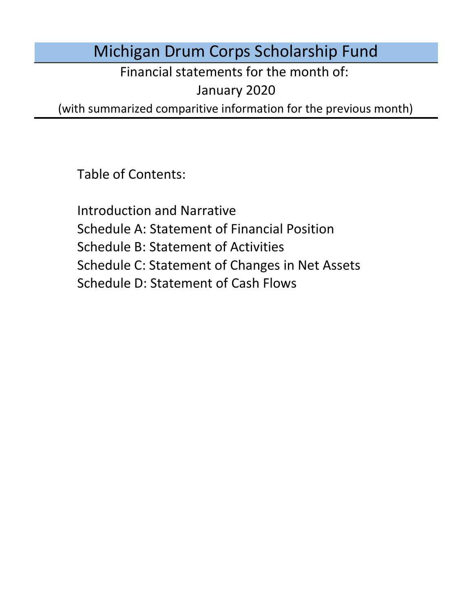# Michigan Drum Corps Scholarship Fund

Financial statements for the month of:

January 2020

(with summarized comparitive information for the previous month)

Table of Contents:

Schedule D: Statement of Cash Flows Introduction and Narrative Schedule A: Statement of Financial Position Schedule B: Statement of Activities Schedule C: Statement of Changes in Net Assets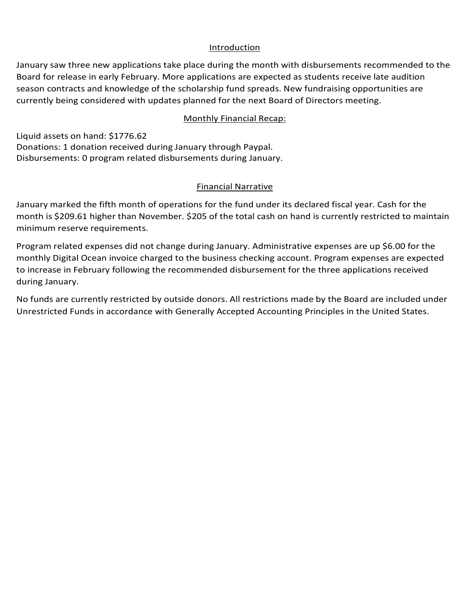#### Introduction

January saw three new applications take place during the month with disbursements recommended to the Board for release in early February. More applications are expected as students receive late audition season contracts and knowledge of the scholarship fund spreads. New fundraising opportunities are currently being considered with updates planned for the next Board of Directors meeting.

#### Monthly Financial Recap:

Liquid assets on hand: \$1776.62 Donations: 1 donation received during January through Paypal. Disbursements: 0 program related disbursements during January.

### Financial Narrative

January marked the fifth month of operations for the fund under its declared fiscal year. Cash for the month is \$209.61 higher than November. \$205 of the total cash on hand is currently restricted to maintain minimum reserve requirements.

Program related expenses did not change during January. Administrative expenses are up \$6.00 for the monthly Digital Ocean invoice charged to the business checking account. Program expenses are expected to increase in February following the recommended disbursement for the three applications received during January.

No funds are currently restricted by outside donors. All restrictions made by the Board are included under Unrestricted Funds in accordance with Generally Accepted Accounting Principles in the United States.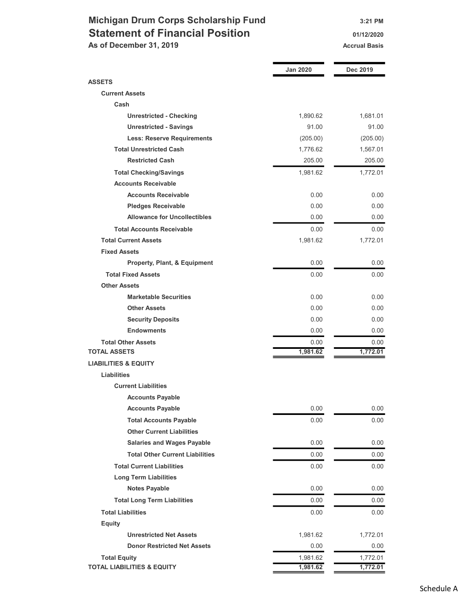## Michigan Drum Corps Scholarship Fund 3:21 PM Statement of Financial Position 01/12/2020 As of December 31, 2019 Accrual Basis

|                                         | <b>Jan 2020</b> | Dec 2019 |
|-----------------------------------------|-----------------|----------|
| <b>ASSETS</b>                           |                 |          |
| <b>Current Assets</b>                   |                 |          |
| Cash                                    |                 |          |
| <b>Unrestricted - Checking</b>          | 1,890.62        | 1,681.01 |
| <b>Unrestricted - Savings</b>           | 91.00           | 91.00    |
| <b>Less: Reserve Requirements</b>       | (205.00)        | (205.00) |
| <b>Total Unrestricted Cash</b>          | 1,776.62        | 1,567.01 |
| <b>Restricted Cash</b>                  | 205.00          | 205.00   |
| <b>Total Checking/Savings</b>           | 1,981.62        | 1,772.01 |
| <b>Accounts Receivable</b>              |                 |          |
| <b>Accounts Receivable</b>              | 0.00            | 0.00     |
| <b>Pledges Receivable</b>               | 0.00            | 0.00     |
| <b>Allowance for Uncollectibles</b>     | 0.00            | 0.00     |
| <b>Total Accounts Receivable</b>        | 0.00            | 0.00     |
| <b>Total Current Assets</b>             | 1,981.62        | 1,772.01 |
| <b>Fixed Assets</b>                     |                 |          |
| <b>Property, Plant, &amp; Equipment</b> | 0.00            | 0.00     |
| <b>Total Fixed Assets</b>               | 0.00            | 0.00     |
| <b>Other Assets</b>                     |                 |          |
| <b>Marketable Securities</b>            | 0.00            | 0.00     |
| <b>Other Assets</b>                     | 0.00            | 0.00     |
| <b>Security Deposits</b>                | 0.00            | 0.00     |
| <b>Endowments</b>                       | 0.00            | 0.00     |
| <b>Total Other Assets</b>               | 0.00            | 0.00     |
| <b>TOTAL ASSETS</b>                     | 1,981.62        | 1,772.01 |
| <b>LIABILITIES &amp; EQUITY</b>         |                 |          |
| <b>Liabilities</b>                      |                 |          |
| <b>Current Liabilities</b>              |                 |          |
| <b>Accounts Payable</b>                 |                 |          |
| <b>Accounts Payable</b>                 | 0.00            | 0.00     |
| <b>Total Accounts Payable</b>           | 0.00            | 0.00     |
| <b>Other Current Liabilities</b>        |                 |          |
| <b>Salaries and Wages Payable</b>       | 0.00            | 0.00     |
| <b>Total Other Current Liabilities</b>  | $0.00\,$        | 0.00     |
| <b>Total Current Liabilities</b>        | $0.00\,$        | 0.00     |
| <b>Long Term Liabilities</b>            |                 |          |
| <b>Notes Payable</b>                    | 0.00            | 0.00     |
| <b>Total Long Term Liabilities</b>      | $0.00\,$        | 0.00     |
| <b>Total Liabilities</b>                | 0.00            | 0.00     |
| <b>Equity</b>                           |                 |          |
| <b>Unrestricted Net Assets</b>          | 1,981.62        | 1,772.01 |
| <b>Donor Restricted Net Assets</b>      | 0.00            | 0.00     |
| <b>Total Equity</b>                     | 1,981.62        | 1,772.01 |
| <b>TOTAL LIABILITIES &amp; EQUITY</b>   | 1,981.62        | 1,772.01 |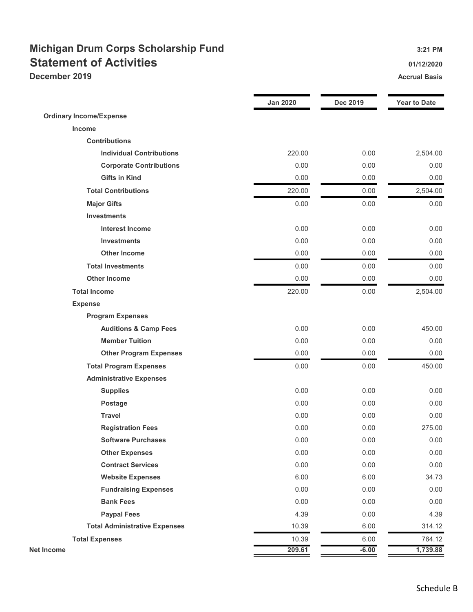# Michigan Drum Corps Scholarship Fund 3:21 PM Statement of Activities **Statement of Activities Contract Contract Contract Contract Contract Contract Contract Contract Contract Contract Contract Contract Contract Contract Contract Contract Contract Contract Contract December 2019** Accrual Basis **Accrual Basis** Accrual Basis **Accrual Basis**

|                                      | <b>Jan 2020</b> | <b>Dec 2019</b> | <b>Year to Date</b> |
|--------------------------------------|-----------------|-----------------|---------------------|
| <b>Ordinary Income/Expense</b>       |                 |                 |                     |
| Income                               |                 |                 |                     |
| <b>Contributions</b>                 |                 |                 |                     |
| <b>Individual Contributions</b>      | 220.00          | 0.00            | 2,504.00            |
| <b>Corporate Contributions</b>       | 0.00            | 0.00            | 0.00                |
| <b>Gifts in Kind</b>                 | 0.00            | 0.00            | 0.00                |
| <b>Total Contributions</b>           | 220.00          | 0.00            | 2,504.00            |
| <b>Major Gifts</b>                   | 0.00            | 0.00            | 0.00                |
| <b>Investments</b>                   |                 |                 |                     |
| <b>Interest Income</b>               | 0.00            | 0.00            | 0.00                |
| <b>Investments</b>                   | 0.00            | 0.00            | 0.00                |
| <b>Other Income</b>                  | 0.00            | 0.00            | 0.00                |
| <b>Total Investments</b>             | 0.00            | 0.00            | 0.00                |
| <b>Other Income</b>                  | 0.00            | 0.00            | 0.00                |
| <b>Total Income</b>                  | 220.00          | 0.00            | 2,504.00            |
| <b>Expense</b>                       |                 |                 |                     |
| <b>Program Expenses</b>              |                 |                 |                     |
| <b>Auditions &amp; Camp Fees</b>     | 0.00            | 0.00            | 450.00              |
| <b>Member Tuition</b>                | 0.00            | 0.00            | 0.00                |
| <b>Other Program Expenses</b>        | 0.00            | 0.00            | 0.00                |
| <b>Total Program Expenses</b>        | 0.00            | 0.00            | 450.00              |
| <b>Administrative Expenses</b>       |                 |                 |                     |
| <b>Supplies</b>                      | 0.00            | 0.00            | 0.00                |
| Postage                              | 0.00            | 0.00            | 0.00                |
| <b>Travel</b>                        | 0.00            | 0.00            | 0.00                |
| <b>Registration Fees</b>             | 0.00            | 0.00            | 275.00              |
| <b>Software Purchases</b>            | 0.00            | 0.00            | 0.00                |
| <b>Other Expenses</b>                | 0.00            | 0.00            | 0.00                |
| <b>Contract Services</b>             | 0.00            | 0.00            | 0.00                |
| <b>Website Expenses</b>              | 6.00            | 6.00            | 34.73               |
| <b>Fundraising Expenses</b>          | 0.00            | 0.00            | 0.00                |
| <b>Bank Fees</b>                     | 0.00            | 0.00            | 0.00                |
| <b>Paypal Fees</b>                   | 4.39            | 0.00            | 4.39                |
| <b>Total Administrative Expenses</b> | 10.39           | 6.00            | 314.12              |
| <b>Total Expenses</b>                | 10.39           | 6.00            | 764.12              |
| <b>Net Income</b>                    | 209.61          | $-6.00$         | 1,739.88            |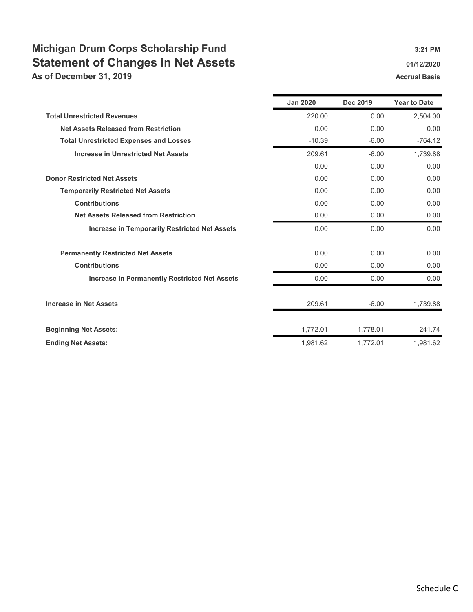# Michigan Drum Corps Scholarship Fund 3:21 PM Statement of Changes in Net Assets 61/12/2020 01/12/2020

As of December 31, 2019 **Accrual Basis** Accrual Basis Accrual Basis

|                                                      | <b>Jan 2020</b> | <b>Dec 2019</b> | <b>Year to Date</b> |
|------------------------------------------------------|-----------------|-----------------|---------------------|
| <b>Total Unrestricted Revenues</b>                   | 220.00          | 0.00            | 2,504.00            |
| <b>Net Assets Released from Restriction</b>          | 0.00            | 0.00            | 0.00                |
| <b>Total Unrestricted Expenses and Losses</b>        | $-10.39$        | $-6.00$         | $-764.12$           |
| <b>Increase in Unrestricted Net Assets</b>           | 209.61          | $-6.00$         | 1,739.88            |
|                                                      | 0.00            | 0.00            | 0.00                |
| <b>Donor Restricted Net Assets</b>                   | 0.00            | 0.00            | 0.00                |
| <b>Temporarily Restricted Net Assets</b>             | 0.00            | 0.00            | 0.00                |
| <b>Contributions</b>                                 | 0.00            | 0.00            | 0.00                |
| <b>Net Assets Released from Restriction</b>          | 0.00            | 0.00            | 0.00                |
| <b>Increase in Temporarily Restricted Net Assets</b> | 0.00            | 0.00            | 0.00                |
| <b>Permanently Restricted Net Assets</b>             | 0.00            | 0.00            | 0.00                |
| <b>Contributions</b>                                 | 0.00            | 0.00            | 0.00                |
| <b>Increase in Permanently Restricted Net Assets</b> | 0.00            | 0.00            | 0.00                |
| <b>Increase in Net Assets</b>                        | 209.61          | $-6.00$         | 1,739.88            |
| <b>Beginning Net Assets:</b>                         | 1,772.01        | 1,778.01        | 241.74              |
| <b>Ending Net Assets:</b>                            | 1,981.62        | 1,772.01        | 1,981.62            |